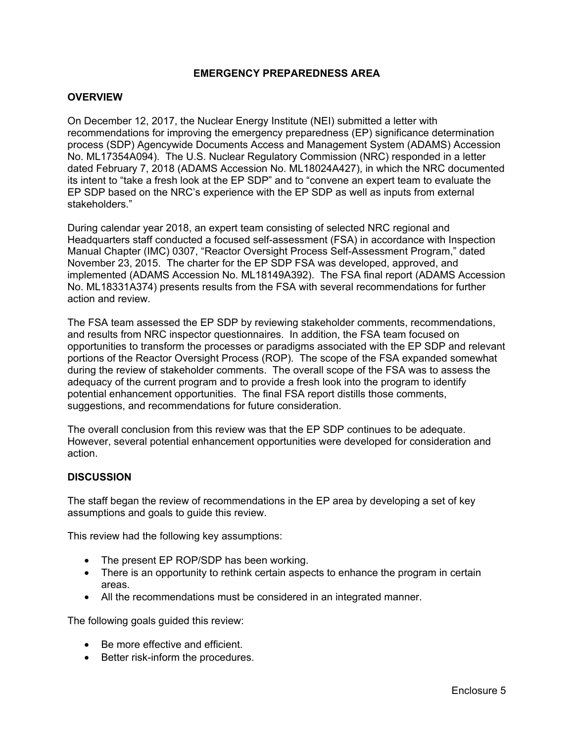# **EMERGENCY PREPAREDNESS AREA**

#### **OVERVIEW**

On December 12, 2017, the Nuclear Energy Institute (NEI) submitted a letter with recommendations for improving the emergency preparedness (EP) significance determination process (SDP) Agencywide Documents Access and Management System (ADAMS) Accession No. ML17354A094). The U.S. Nuclear Regulatory Commission (NRC) responded in a letter dated February 7, 2018 (ADAMS Accession No. ML18024A427), in which the NRC documented its intent to "take a fresh look at the EP SDP" and to "convene an expert team to evaluate the EP SDP based on the NRC's experience with the EP SDP as well as inputs from external stakeholders."

During calendar year 2018, an expert team consisting of selected NRC regional and Headquarters staff conducted a focused self-assessment (FSA) in accordance with Inspection Manual Chapter (IMC) 0307, "Reactor Oversight Process Self-Assessment Program," dated November 23, 2015. The charter for the EP SDP FSA was developed, approved, and implemented (ADAMS Accession No. ML18149A392). The FSA final report (ADAMS Accession No. ML18331A374) presents results from the FSA with several recommendations for further action and review.

The FSA team assessed the EP SDP by reviewing stakeholder comments, recommendations, and results from NRC inspector questionnaires. In addition, the FSA team focused on opportunities to transform the processes or paradigms associated with the EP SDP and relevant portions of the Reactor Oversight Process (ROP). The scope of the FSA expanded somewhat during the review of stakeholder comments. The overall scope of the FSA was to assess the adequacy of the current program and to provide a fresh look into the program to identify potential enhancement opportunities. The final FSA report distills those comments, suggestions, and recommendations for future consideration.

The overall conclusion from this review was that the EP SDP continues to be adequate. However, several potential enhancement opportunities were developed for consideration and action.

#### **DISCUSSION**

The staff began the review of recommendations in the EP area by developing a set of key assumptions and goals to guide this review.

This review had the following key assumptions:

- The present EP ROP/SDP has been working.
- There is an opportunity to rethink certain aspects to enhance the program in certain areas.
- All the recommendations must be considered in an integrated manner.

The following goals guided this review:

- Be more effective and efficient.
- Better risk-inform the procedures.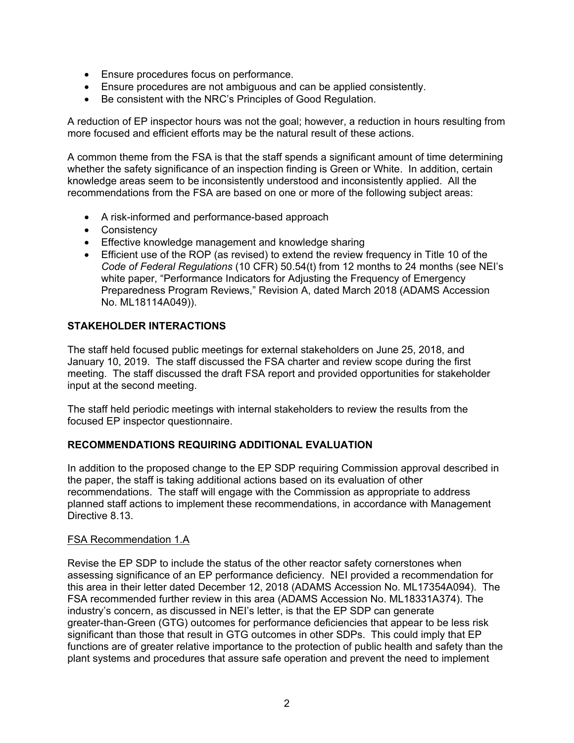- Ensure procedures focus on performance.
- Ensure procedures are not ambiguous and can be applied consistently.
- Be consistent with the NRC's Principles of Good Regulation.

A reduction of EP inspector hours was not the goal; however, a reduction in hours resulting from more focused and efficient efforts may be the natural result of these actions.

A common theme from the FSA is that the staff spends a significant amount of time determining whether the safety significance of an inspection finding is Green or White. In addition, certain knowledge areas seem to be inconsistently understood and inconsistently applied. All the recommendations from the FSA are based on one or more of the following subject areas:

- A risk-informed and performance-based approach
- Consistency
- Effective knowledge management and knowledge sharing
- Efficient use of the ROP (as revised) to extend the review frequency in Title 10 of the *Code of Federal Regulations* (10 CFR) 50.54(t) from 12 months to 24 months (see NEI's white paper, "Performance Indicators for Adjusting the Frequency of Emergency Preparedness Program Reviews," Revision A, dated March 2018 (ADAMS Accession No. ML18114A049)).

# **STAKEHOLDER INTERACTIONS**

The staff held focused public meetings for external stakeholders on June 25, 2018, and January 10, 2019. The staff discussed the FSA charter and review scope during the first meeting. The staff discussed the draft FSA report and provided opportunities for stakeholder input at the second meeting.

The staff held periodic meetings with internal stakeholders to review the results from the focused EP inspector questionnaire.

# **RECOMMENDATIONS REQUIRING ADDITIONAL EVALUATION**

In addition to the proposed change to the EP SDP requiring Commission approval described in the paper, the staff is taking additional actions based on its evaluation of other recommendations. The staff will engage with the Commission as appropriate to address planned staff actions to implement these recommendations, in accordance with Management Directive 8.13.

# FSA Recommendation 1.A

Revise the EP SDP to include the status of the other reactor safety cornerstones when assessing significance of an EP performance deficiency. NEI provided a recommendation for this area in their letter dated December 12, 2018 (ADAMS Accession No. ML17354A094). The FSA recommended further review in this area (ADAMS Accession No. ML18331A374). The industry's concern, as discussed in NEI's letter, is that the EP SDP can generate greater-than-Green (GTG) outcomes for performance deficiencies that appear to be less risk significant than those that result in GTG outcomes in other SDPs. This could imply that EP functions are of greater relative importance to the protection of public health and safety than the plant systems and procedures that assure safe operation and prevent the need to implement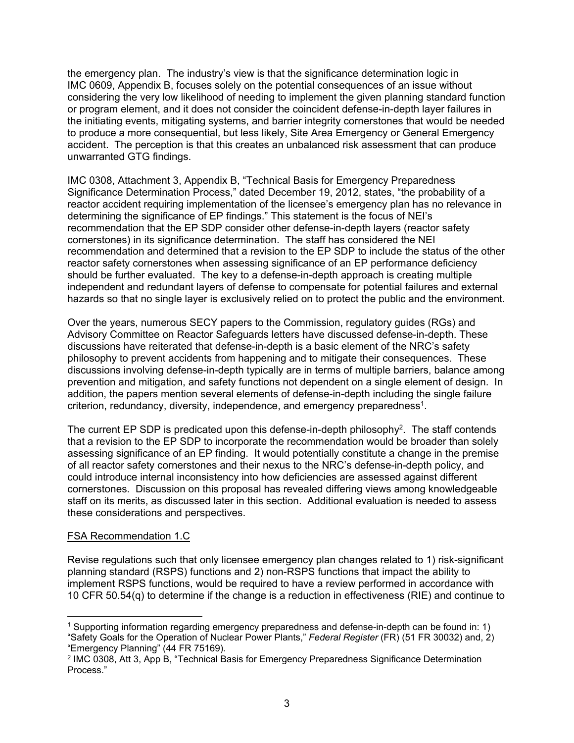the emergency plan. The industry's view is that the significance determination logic in IMC 0609, Appendix B, focuses solely on the potential consequences of an issue without considering the very low likelihood of needing to implement the given planning standard function or program element, and it does not consider the coincident defense-in-depth layer failures in the initiating events, mitigating systems, and barrier integrity cornerstones that would be needed to produce a more consequential, but less likely, Site Area Emergency or General Emergency accident. The perception is that this creates an unbalanced risk assessment that can produce unwarranted GTG findings.

IMC 0308, Attachment 3, Appendix B, "Technical Basis for Emergency Preparedness Significance Determination Process," dated December 19, 2012, states, "the probability of a reactor accident requiring implementation of the licensee's emergency plan has no relevance in determining the significance of EP findings." This statement is the focus of NEI's recommendation that the EP SDP consider other defense-in-depth layers (reactor safety cornerstones) in its significance determination. The staff has considered the NEI recommendation and determined that a revision to the EP SDP to include the status of the other reactor safety cornerstones when assessing significance of an EP performance deficiency should be further evaluated. The key to a defense-in-depth approach is creating multiple independent and redundant layers of defense to compensate for potential failures and external hazards so that no single layer is exclusively relied on to protect the public and the environment.

Over the years, numerous SECY papers to the Commission, regulatory guides (RGs) and Advisory Committee on Reactor Safeguards letters have discussed defense-in-depth. These discussions have reiterated that defense-in-depth is a basic element of the NRC's safety philosophy to prevent accidents from happening and to mitigate their consequences. These discussions involving defense-in-depth typically are in terms of multiple barriers, balance among prevention and mitigation, and safety functions not dependent on a single element of design. In addition, the papers mention several elements of defense-in-depth including the single failure criterion, redundancy, diversity, independence, and emergency preparedness1.

The current EP SDP is predicated upon this defense-in-depth philosophy<sup>2</sup>. The staff contends that a revision to the EP SDP to incorporate the recommendation would be broader than solely assessing significance of an EP finding. It would potentially constitute a change in the premise of all reactor safety cornerstones and their nexus to the NRC's defense-in-depth policy, and could introduce internal inconsistency into how deficiencies are assessed against different cornerstones. Discussion on this proposal has revealed differing views among knowledgeable staff on its merits, as discussed later in this section. Additional evaluation is needed to assess these considerations and perspectives.

# FSA Recommendation 1.C

 $\overline{a}$ 

Revise regulations such that only licensee emergency plan changes related to 1) risk-significant planning standard (RSPS) functions and 2) non-RSPS functions that impact the ability to implement RSPS functions, would be required to have a review performed in accordance with 10 CFR 50.54(q) to determine if the change is a reduction in effectiveness (RIE) and continue to

<sup>1</sup> Supporting information regarding emergency preparedness and defense-in-depth can be found in: 1) "Safety Goals for the Operation of Nuclear Power Plants," *Federal Register* (FR) (51 FR 30032) and, 2) "Emergency Planning" (44 FR 75169).

<sup>2</sup> IMC 0308, Att 3, App B, "Technical Basis for Emergency Preparedness Significance Determination Process."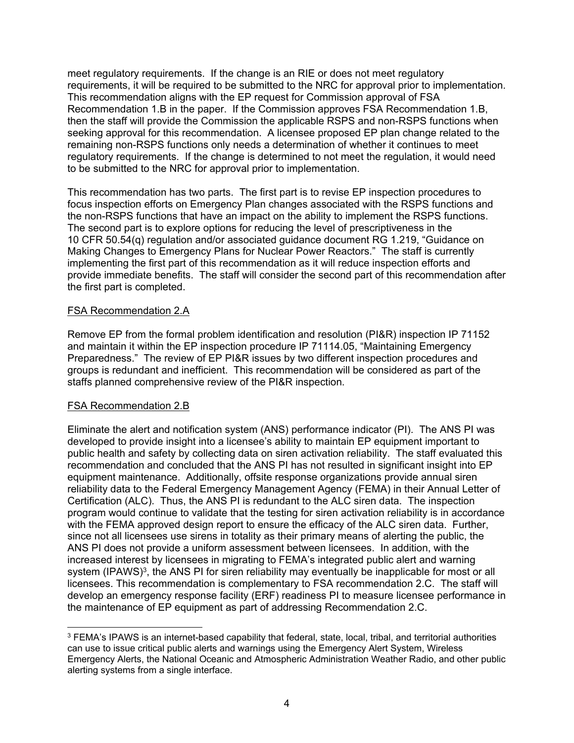meet regulatory requirements. If the change is an RIE or does not meet regulatory requirements, it will be required to be submitted to the NRC for approval prior to implementation. This recommendation aligns with the EP request for Commission approval of FSA Recommendation 1.B in the paper. If the Commission approves FSA Recommendation 1.B, then the staff will provide the Commission the applicable RSPS and non-RSPS functions when seeking approval for this recommendation. A licensee proposed EP plan change related to the remaining non-RSPS functions only needs a determination of whether it continues to meet regulatory requirements. If the change is determined to not meet the regulation, it would need to be submitted to the NRC for approval prior to implementation.

This recommendation has two parts. The first part is to revise EP inspection procedures to focus inspection efforts on Emergency Plan changes associated with the RSPS functions and the non-RSPS functions that have an impact on the ability to implement the RSPS functions. The second part is to explore options for reducing the level of prescriptiveness in the 10 CFR 50.54(q) regulation and/or associated guidance document RG 1.219, "Guidance on Making Changes to Emergency Plans for Nuclear Power Reactors." The staff is currently implementing the first part of this recommendation as it will reduce inspection efforts and provide immediate benefits. The staff will consider the second part of this recommendation after the first part is completed.

# FSA Recommendation 2.A

Remove EP from the formal problem identification and resolution (PI&R) inspection IP 71152 and maintain it within the EP inspection procedure IP 71114.05, "Maintaining Emergency Preparedness." The review of EP PI&R issues by two different inspection procedures and groups is redundant and inefficient. This recommendation will be considered as part of the staffs planned comprehensive review of the PI&R inspection.

# FSA Recommendation 2.B

Eliminate the alert and notification system (ANS) performance indicator (PI). The ANS PI was developed to provide insight into a licensee's ability to maintain EP equipment important to public health and safety by collecting data on siren activation reliability. The staff evaluated this recommendation and concluded that the ANS PI has not resulted in significant insight into EP equipment maintenance. Additionally, offsite response organizations provide annual siren reliability data to the Federal Emergency Management Agency (FEMA) in their Annual Letter of Certification (ALC). Thus, the ANS PI is redundant to the ALC siren data. The inspection program would continue to validate that the testing for siren activation reliability is in accordance with the FEMA approved design report to ensure the efficacy of the ALC siren data. Further, since not all licensees use sirens in totality as their primary means of alerting the public, the ANS PI does not provide a uniform assessment between licensees. In addition, with the increased interest by licensees in migrating to FEMA's integrated public alert and warning system (IPAWS)<sup>3</sup>, the ANS PI for siren reliability may eventually be inapplicable for most or all licensees. This recommendation is complementary to FSA recommendation 2.C. The staff will develop an emergency response facility (ERF) readiness PI to measure licensee performance in the maintenance of EP equipment as part of addressing Recommendation 2.C.

**<sup>.</sup>** <sup>3</sup> FEMA's IPAWS is an internet-based capability that federal, state, local, tribal, and territorial authorities can use to issue critical public alerts and warnings using the Emergency Alert System, Wireless Emergency Alerts, the National Oceanic and Atmospheric Administration Weather Radio, and other public alerting systems from a single interface.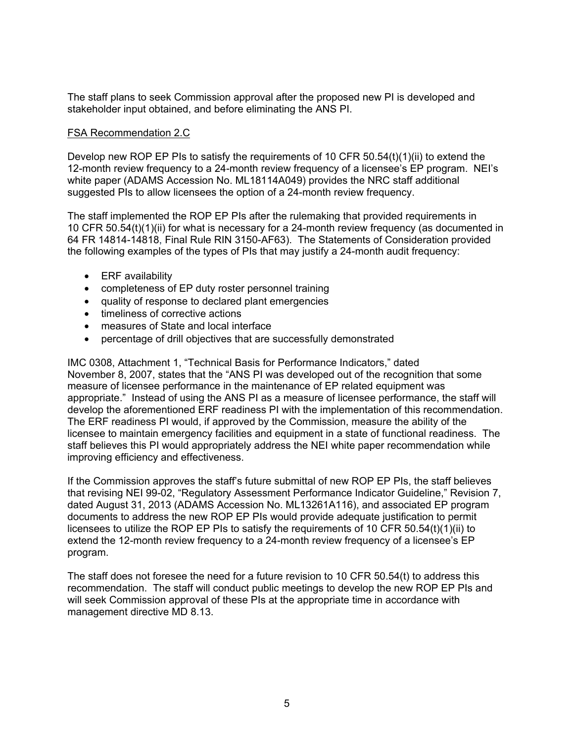The staff plans to seek Commission approval after the proposed new PI is developed and stakeholder input obtained, and before eliminating the ANS PI.

#### FSA Recommendation 2.C

Develop new ROP EP PIs to satisfy the requirements of 10 CFR  $50.54(t)(1)(ii)$  to extend the 12-month review frequency to a 24-month review frequency of a licensee's EP program. NEI's white paper (ADAMS Accession No. ML18114A049) provides the NRC staff additional suggested PIs to allow licensees the option of a 24-month review frequency.

The staff implemented the ROP EP PIs after the rulemaking that provided requirements in 10 CFR 50.54(t)(1)(ii) for what is necessary for a 24-month review frequency (as documented in 64 FR 14814-14818, Final Rule RIN 3150-AF63). The Statements of Consideration provided the following examples of the types of PIs that may justify a 24-month audit frequency:

- ERF availability
- completeness of EP duty roster personnel training
- quality of response to declared plant emergencies
- timeliness of corrective actions
- measures of State and local interface
- percentage of drill objectives that are successfully demonstrated

IMC 0308, Attachment 1, "Technical Basis for Performance Indicators," dated November 8, 2007, states that the "ANS PI was developed out of the recognition that some measure of licensee performance in the maintenance of EP related equipment was appropriate." Instead of using the ANS PI as a measure of licensee performance, the staff will develop the aforementioned ERF readiness PI with the implementation of this recommendation. The ERF readiness PI would, if approved by the Commission, measure the ability of the licensee to maintain emergency facilities and equipment in a state of functional readiness. The staff believes this PI would appropriately address the NEI white paper recommendation while improving efficiency and effectiveness.

If the Commission approves the staff's future submittal of new ROP EP PIs, the staff believes that revising NEI 99-02, "Regulatory Assessment Performance Indicator Guideline," Revision 7, dated August 31, 2013 (ADAMS Accession No. ML13261A116), and associated EP program documents to address the new ROP EP PIs would provide adequate justification to permit licensees to utilize the ROP EP PIs to satisfy the requirements of 10 CFR 50.54(t)(1)(ii) to extend the 12-month review frequency to a 24-month review frequency of a licensee's EP program.

The staff does not foresee the need for a future revision to 10 CFR 50.54(t) to address this recommendation. The staff will conduct public meetings to develop the new ROP EP PIs and will seek Commission approval of these PIs at the appropriate time in accordance with management directive MD 8.13.